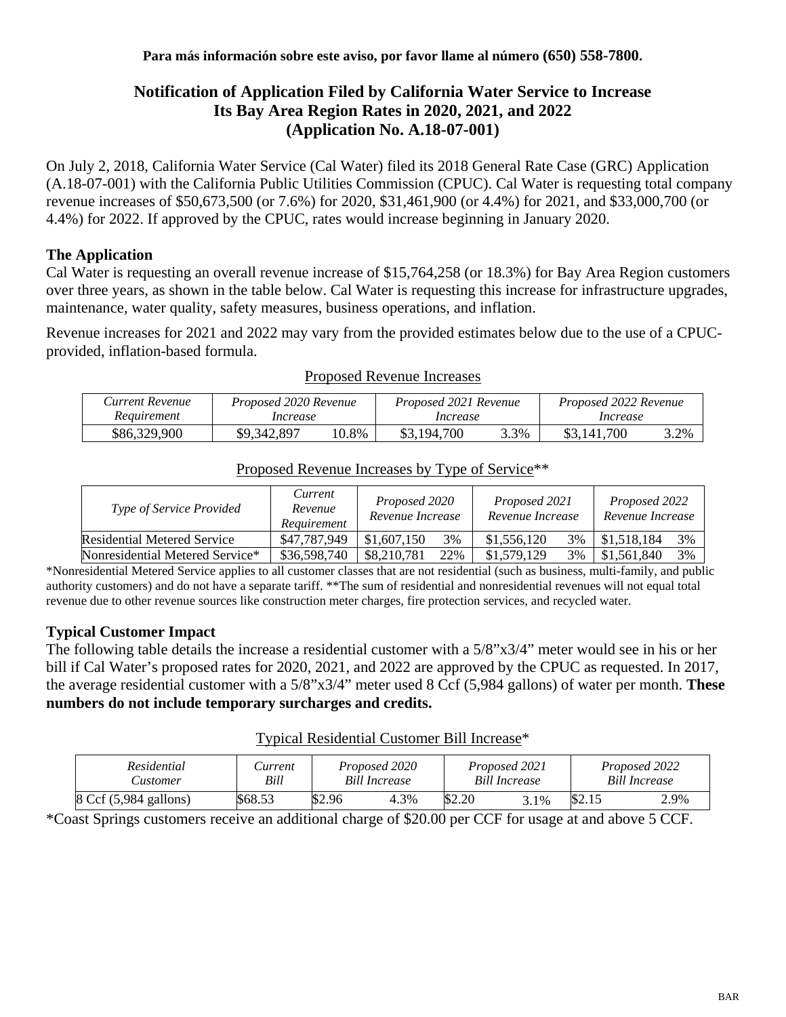# **Notification of Application Filed by California Water Service to Increase Its Bay Area Region Rates in 2020, 2021, and 2022 (Application No. A.18-07-001)**

On July 2, 2018, California Water Service (Cal Water) filed its 2018 General Rate Case (GRC) Application (A.18-07-001) with the California Public Utilities Commission (CPUC). Cal Water is requesting total company revenue increases of \$50,673,500 (or 7.6%) for 2020, \$31,461,900 (or 4.4%) for 2021, and \$33,000,700 (or 4.4%) for 2022. If approved by the CPUC, rates would increase beginning in January 2020.

## **The Application**

Cal Water is requesting an overall revenue increase of \$15,764,258 (or 18.3%) for Bay Area Region customers over three years, as shown in the table below. Cal Water is requesting this increase for infrastructure upgrades, maintenance, water quality, safety measures, business operations, and inflation.

Revenue increases for 2021 and 2022 may vary from the provided estimates below due to the use of a CPUCprovided, inflation-based formula.

| Current Revenue | Proposed 2020 Revenue |       | Proposed 2021 Revenue |      | Proposed 2022 Revenue |      |  |
|-----------------|-----------------------|-------|-----------------------|------|-----------------------|------|--|
| Requirement     | Increase              |       | Increase              |      | Increase              |      |  |
| \$86,329,900    | \$9,342,897           | 10.8% | \$3,194,700           | 3.3% | \$3,141,700           | 3.2% |  |

Proposed Revenue Increases

| <i>Type of Service Provided</i> | Current<br>Revenue<br>Requirement | Proposed 2020<br>Revenue Increase |  | Proposed 2021<br>Revenue Increase |    | Proposed 2022<br>Revenue Increase |    |
|---------------------------------|-----------------------------------|-----------------------------------|--|-----------------------------------|----|-----------------------------------|----|
| Residential Metered Service     | \$47,787,949                      | \$1,607,150<br>3%                 |  | \$1,556,120                       | 3% | \$1,518,184                       | 3% |
| Nonresidential Metered Service* | \$36,598,740                      | \$8,210,781<br>22%                |  | \$1,579,129                       | 3% | \$1,561,840                       | 3% |

#### Proposed Revenue Increases by Type of Service\*\*

\*Nonresidential Metered Service applies to all customer classes that are not residential (such as business, multi-family, and public authority customers) and do not have a separate tariff. \*\*The sum of residential and nonresidential revenues will not equal total revenue due to other revenue sources like construction meter charges, fire protection services, and recycled water.

### **Typical Customer Impact**

The following table details the increase a residential customer with a 5/8"x3/4" meter would see in his or her bill if Cal Water's proposed rates for 2020, 2021, and 2022 are approved by the CPUC as requested. In 2017, the average residential customer with a 5/8"x3/4" meter used 8 Ccf (5,984 gallons) of water per month. **These numbers do not include temporary surcharges and credits.**

### Typical Residential Customer Bill Increase\*

| Residential                              | <i>Lurrent</i> | Proposed 2020        |      | Proposed 2021        |      | Proposed 2022        |      |
|------------------------------------------|----------------|----------------------|------|----------------------|------|----------------------|------|
| ustomer:                                 | Bill           | <b>Bill Increase</b> |      | <b>Bill Increase</b> |      | <b>Bill Increase</b> |      |
| $8 \text{ Ccf } (5,984 \text{ gallons})$ | \$68.53        | \$2.96               | 4.3% | \$2.20               | 3.1% | \$2.15               | 2.9% |

\*Coast Springs customers receive an additional charge of \$20.00 per CCF for usage at and above 5 CCF.